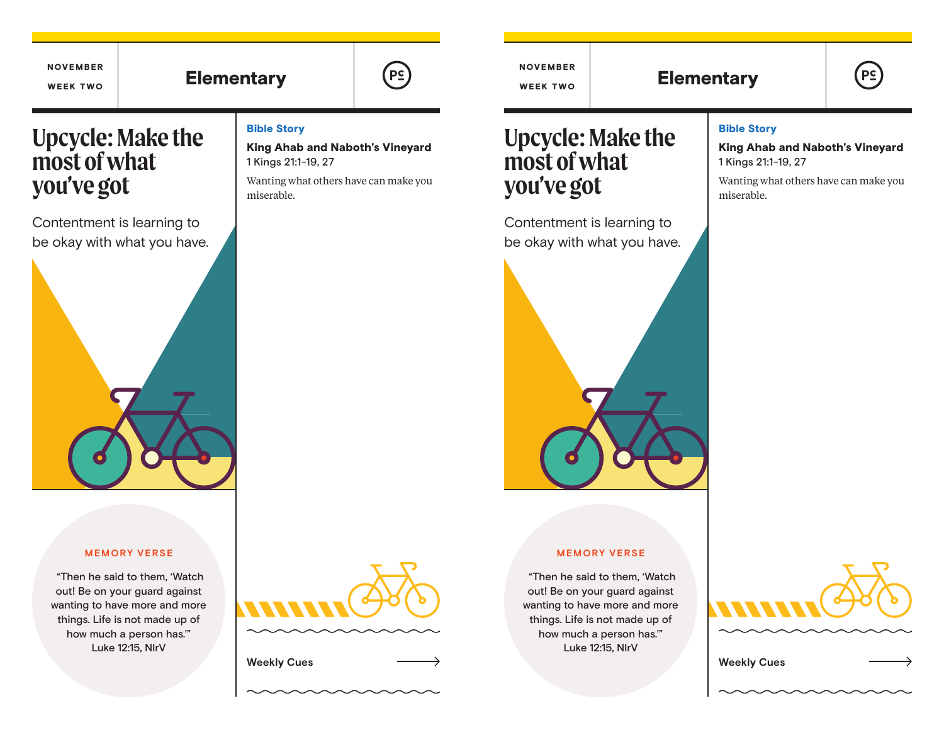# Elementary  $(\mathsf{P}_{\mathsf{S}})$  ( $(\mathsf{P}_{\mathsf{S}})$   $(\mathsf{P}_{\mathsf{S}})$   $(\mathsf{P}_{\mathsf{S}})$  Elementary



NOVEMBER WEEK TWO

 $P<sub>2</sub>$ 

# **Upcycle: Make the most of what you've got**

NOVEMBER WEEK TWO

Contentment is learning to be okay with what you have.



#### **MEMORY VERSE**

 "Then he said to them, 'Watch out! Be on your guard against wanting to have more and more things. Life is not made up of how much a person has.'" Luke 12:15, NIrV

### Bible Story

King Ahab and Naboth's Vineyard 1 Kings 21:1-19, 27

Wanting what others have can make you miserable.

# **Upcycle: Make the most of what you've got**

Contentment is learning to be okay with what you have.



### Bible Story

King Ahab and Naboth's Vineyard 1 Kings 21:1-19, 27

Wanting what others have can make you miserable.

#### **MEMORY VERSE**

 "Then he said to them, 'Watch out! Be on your guard against wanting to have more and more things. Life is not made up of how much a person has.'" Luke 12:15, NIrV